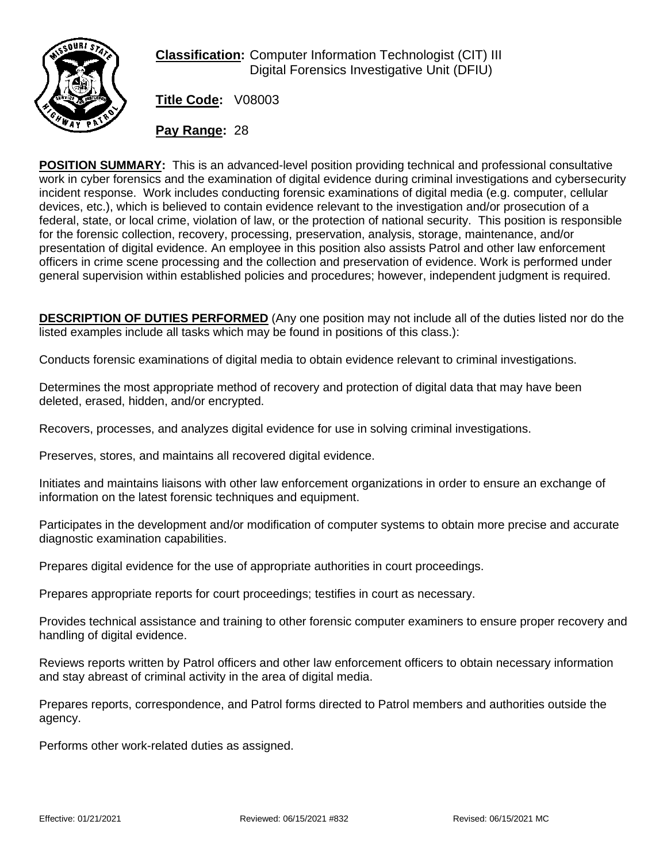

**Classification:** Computer Information Technologist (CIT) III Digital Forensics Investigative Unit (DFIU)

**Title Code:** V08003

**Pay Range:** 28

**POSITION SUMMARY:** This is an advanced-level position providing technical and professional consultative work in cyber forensics and the examination of digital evidence during criminal investigations and cybersecurity incident response. Work includes conducting forensic examinations of digital media (e.g. computer, cellular devices, etc.), which is believed to contain evidence relevant to the investigation and/or prosecution of a federal, state, or local crime, violation of law, or the protection of national security. This position is responsible for the forensic collection, recovery, processing, preservation, analysis, storage, maintenance, and/or presentation of digital evidence. An employee in this position also assists Patrol and other law enforcement officers in crime scene processing and the collection and preservation of evidence. Work is performed under general supervision within established policies and procedures; however, independent judgment is required.

**DESCRIPTION OF DUTIES PERFORMED** (Any one position may not include all of the duties listed nor do the listed examples include all tasks which may be found in positions of this class.):

Conducts forensic examinations of digital media to obtain evidence relevant to criminal investigations.

Determines the most appropriate method of recovery and protection of digital data that may have been deleted, erased, hidden, and/or encrypted.

Recovers, processes, and analyzes digital evidence for use in solving criminal investigations.

Preserves, stores, and maintains all recovered digital evidence.

Initiates and maintains liaisons with other law enforcement organizations in order to ensure an exchange of information on the latest forensic techniques and equipment.

Participates in the development and/or modification of computer systems to obtain more precise and accurate diagnostic examination capabilities.

Prepares digital evidence for the use of appropriate authorities in court proceedings.

Prepares appropriate reports for court proceedings; testifies in court as necessary.

Provides technical assistance and training to other forensic computer examiners to ensure proper recovery and handling of digital evidence.

Reviews reports written by Patrol officers and other law enforcement officers to obtain necessary information and stay abreast of criminal activity in the area of digital media.

Prepares reports, correspondence, and Patrol forms directed to Patrol members and authorities outside the agency.

Performs other work-related duties as assigned.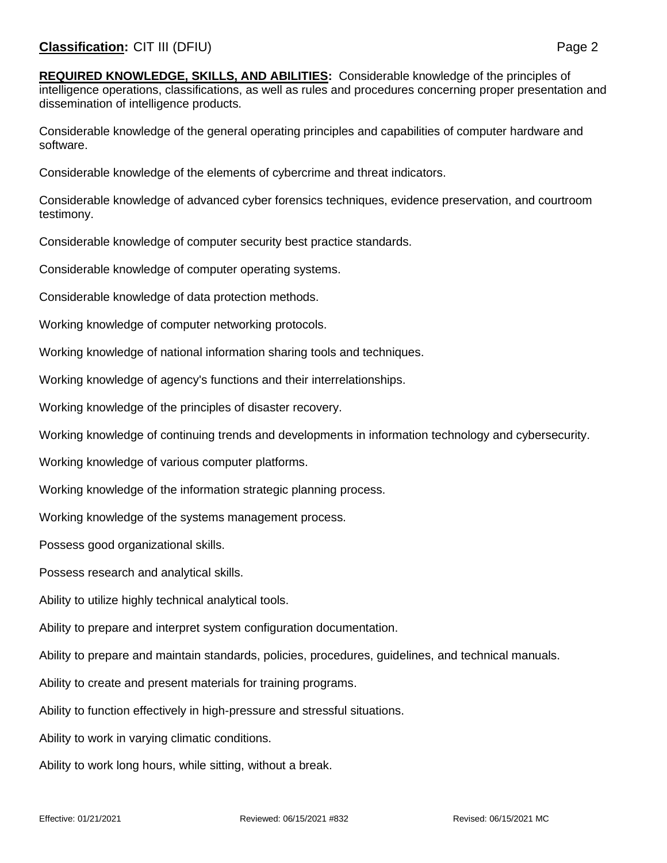**REQUIRED KNOWLEDGE, SKILLS, AND ABILITIES:** Considerable knowledge of the principles of intelligence operations, classifications, as well as rules and procedures concerning proper presentation and dissemination of intelligence products.

Considerable knowledge of the general operating principles and capabilities of computer hardware and software.

Considerable knowledge of the elements of cybercrime and threat indicators.

Considerable knowledge of advanced cyber forensics techniques, evidence preservation, and courtroom testimony.

Considerable knowledge of computer security best practice standards.

Considerable knowledge of computer operating systems.

Considerable knowledge of data protection methods.

Working knowledge of computer networking protocols.

Working knowledge of national information sharing tools and techniques.

Working knowledge of agency's functions and their interrelationships.

Working knowledge of the principles of disaster recovery.

Working knowledge of continuing trends and developments in information technology and cybersecurity.

Working knowledge of various computer platforms.

Working knowledge of the information strategic planning process.

Working knowledge of the systems management process.

Possess good organizational skills.

Possess research and analytical skills.

Ability to utilize highly technical analytical tools.

Ability to prepare and interpret system configuration documentation.

Ability to prepare and maintain standards, policies, procedures, guidelines, and technical manuals.

Ability to create and present materials for training programs.

Ability to function effectively in high-pressure and stressful situations.

Ability to work in varying climatic conditions.

Ability to work long hours, while sitting, without a break.